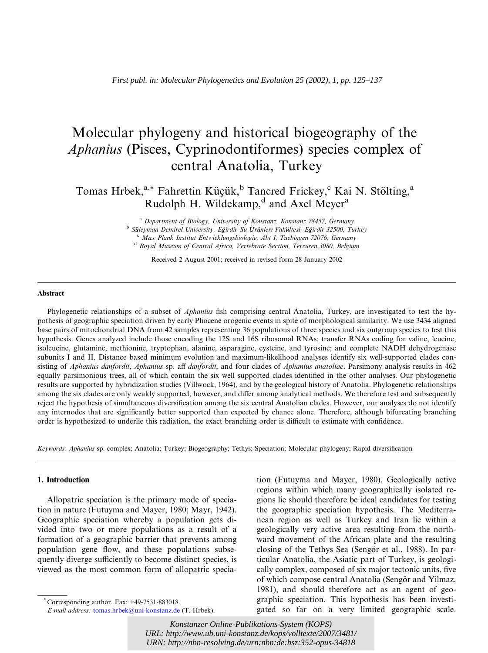# Molecular phylogeny and historical biogeography of the Aphanius (Pisces, Cyprinodontiformes) species complex of central Anatolia, Turkey

Tomas Hrbek,<sup>a,\*</sup> Fahrettin Küçük,<sup>b</sup> Tancred Frickey,<sup>c</sup> Kai N. Stölting,<sup>a</sup> Rudolph H. Wildekamp, $d$  and Axel Meyer<sup>a</sup>

> <sup>a</sup> Department of Biology, University of Konstanz, Konstanz 78457, Germany <sup>b</sup> Süleyman Demirel University, Eğirdir Su Ürünlerı Fakültesi, Eğirdir 32500, Turkey  $c$  Max Plank Institut Entwicklungsbiologie, Abt I, Tuebingen 72076, Germany <sup>d</sup> Royal Museum of Central Africa, Vertebrate Section, Tervuren 3080, Belgium

> > Received 2 August 2001; received in revised form 28 January 2002

#### Abstract

Phylogenetic relationships of a subset of *Aphanius* fish comprising central Anatolia, Turkey, are investigated to test the hypothesis of geographic speciation driven by early Pliocene orogenic events in spite of morphological similarity. We use 3434 aligned base pairs of mitochondrial DNA from 42 samples representing 36 populations of three species and six outgroup species to test this hypothesis. Genes analyzed include those encoding the 12S and 16S ribosomal RNAs; transfer RNAs coding for valine, leucine, isoleucine, glutamine, methionine, tryptophan, alanine, asparagine, cysteine, and tyrosine; and complete NADH dehydrogenase subunits I and II. Distance based minimum evolution and maximum-likelihood analyses identify six well-supported clades consisting of Aphanius danfordii, Aphanius sp. aff danfordii, and four clades of Aphanius anatoliae. Parsimony analysis results in 462 equally parsimonious trees, all of which contain the six well supported clades identified in the other analyses. Our phylogenetic results are supported by hybridization studies (Villwock, 1964), and by the geological history of Anatolia. Phylogenetic relationships among the six clades are only weakly supported, however, and differ among analytical methods. We therefore test and subsequently reject the hypothesis of simultaneous diversification among the six central Anatolian clades. However, our analyses do not identify any internodes that are significantly better supported than expected by chance alone. Therefore, although bifurcating branching order is hypothesized to underlie this radiation, the exact branching order is difficult to estimate with confidence.

Keywords: Aphanius sp. complex; Anatolia; Turkey; Biogeography; Tethys; Speciation; Molecular phylogeny; Rapid diversification

## 1. Introduction

Allopatric speciation is the primary mode of speciation in nature (Futuyma and Mayer, 1980; Mayr, 1942). Geographic speciation whereby a population gets divided into two or more populations as a result of a formation of a geographic barrier that prevents among population gene flow, and these populations subsequently diverge sufficiently to become distinct species, is viewed as the most common form of allopatric specia-

tion (Futuyma and Mayer, 1980). Geologically active regions within which many geographically isolated regions lie should therefore be ideal candidates for testing the geographic speciation hypothesis. The Mediterranean region as well as Turkey and Iran lie within a geologically very active area resulting from the northward movement of the African plate and the resulting closing of the Tethys Sea (Sengör et al., 1988). In particular Anatolia, the Asiatic part of Turkey, is geologically complex, composed of six major tectonic units, five of which compose central Anatolia (Sengör and Yilmaz, 1981), and should therefore act as an agent of geographic speciation. This hypothesis has been investigated so far on a very limited geographic scale.

10556662.2 Clinical reserved. The matter of the matter of the system (100 B).<br>*URL: http://www.ub.uni-konstanz.de/kops/volltexte/2007/3481/ Konstanzer Online-Publikations-System (KOPS) URN:<http://nbn-resolving.de/urn:nbn:de:bsz:352-opus-34818>*

Corresponding author. Fax: +49-7531-883018.

E-mail address: [tomas.hrbek@uni-konstanz.de](mail to: tomas.hrbek@uni-konstanz.de) (T. Hrbek).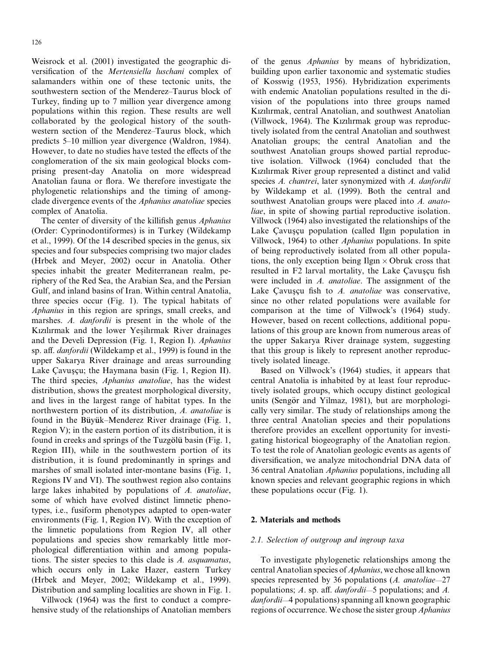Weisrock et al. (2001) investigated the geographic diversification of the Mertensiella luschani complex of salamanders within one of these tectonic units, the southwestern section of the Menderez–Taurus block of Turkey, finding up to 7 million year divergence among populations within this region. These results are well collaborated by the geological history of the southwestern section of the Menderez–Taurus block, which predicts 5–10 million year divergence (Waldron, 1984). However, to date no studies have tested the effects of the conglomeration of the six main geological blocks comprising present-day Anatolia on more widespread Anatolian fauna or flora. We therefore investigate the phylogenetic relationships and the timing of amongclade divergence events of the Aphanius anatoliae species complex of Anatolia.

The center of diversity of the killifish genus *Aphanius* (Order: Cyprinodontiformes) is in Turkey (Wildekamp et al., 1999). Of the 14 described species in the genus, six species and four subspecies comprising two major clades (Hrbek and Meyer, 2002) occur in Anatolia. Other species inhabit the greater Mediterranean realm, periphery of the Red Sea, the Arabian Sea, and the Persian Gulf, and inland basins of Iran. Within central Anatolia, three species occur (Fig. 1). The typical habitats of Aphanius in this region are springs, small creeks, and marshes. A. danfordii is present in the whole of the Kızılırmak and the lower Yesilırmak River drainages and the Develi Depression (Fig. 1, Region I). Aphanius sp. aff. danfordii (Wildekamp et al., 1999) is found in the upper Sakarya River drainage and areas surrounding Lake Cavuscu; the Haymana basin (Fig. 1, Region II). The third species, Aphanius anatoliae, has the widest distribution, shows the greatest morphological diversity, and lives in the largest range of habitat types. In the northwestern portion of its distribution, A. anatoliae is found in the Büyük–Menderez River drainage (Fig. 1, Region V); in the eastern portion of its distribution, it is found in creeks and springs of the Tuzgölü basin (Fig. 1, Region III), while in the southwestern portion of its distribution, it is found predominantly in springs and marshes of small isolated inter-montane basins (Fig. 1, Regions IV and VI). The southwest region also contains large lakes inhabited by populations of A. anatoliae, some of which have evolved distinct limnetic phenotypes, i.e., fusiform phenotypes adapted to open-water environments (Fig. 1, Region IV). With the exception of the limnetic populations from Region IV, all other populations and species show remarkably little morphological differentiation within and among populations. The sister species to this clade is A. asquamatus, which occurs only in Lake Hazer, eastern Turkey (Hrbek and Meyer, 2002; Wildekamp et al., 1999). Distribution and sampling localities are shown in Fig. 1.

Villwock (1964) was the first to conduct a comprehensive study of the relationships of Anatolian members of the genus Aphanius by means of hybridization, building upon earlier taxonomic and systematic studies of Kosswig (1953, 1956). Hybridization experiments with endemic Anatolian populations resulted in the division of the populations into three groups named Kızılırmak, central Anatolian, and southwest Anatolian (Villwock, 1964). The Kızılırmak group was reproductively isolated from the central Anatolian and southwest Anatolian groups; the central Anatolian and the southwest Anatolian groups showed partial reproductive isolation. Villwock (1964) concluded that the Kızılırmak River group represented a distinct and valid species A. chantrei, later synonymized with A. danfordii by Wildekamp et al. (1999). Both the central and southwest Anatolian groups were placed into A. anatoliae, in spite of showing partial reproductive isolation. Villwock (1964) also investigated the relationships of the Lake Cavuscu population (called Ilgin population in Villwock, 1964) to other Aphanius populations. In spite of being reproductively isolated from all other populations, the only exception being Ilgin  $\times$  Obruk cross that resulted in F2 larval mortality, the Lake Cavuscu fish were included in A. anatoliae. The assignment of the Lake Cavuscu fish to  $A$ . anatoliae was conservative, since no other related populations were available for comparison at the time of Villwock's (1964) study. However, based on recent collections, additional populations of this group are known from numerous areas of the upper Sakarya River drainage system, suggesting that this group is likely to represent another reproductively isolated lineage.

Based on Villwock's (1964) studies, it appears that central Anatolia is inhabited by at least four reproductively isolated groups, which occupy distinct geological units (Sengör and Yilmaz, 1981), but are morphologically very similar. The study of relationships among the three central Anatolian species and their populations therefore provides an excellent opportunity for investigating historical biogeography of the Anatolian region. To test the role of Anatolian geologic events as agents of diversification, we analyze mitochondrial DNA data of 36 central Anatolian Aphanius populations, including all known species and relevant geographic regions in which these populations occur (Fig. 1).

## 2. Materials and methods

#### 2.1. Selection of outgroup and ingroup taxa

To investigate phylogenetic relationships among the central Anatolian species of Aphanius, we chose all known species represented by 36 populations (A. anatoliae-27 populations; A. sp. aff. danfordii—5 populations; and A. danfordii—4 populations) spanning all known geographic regions of occurrence. We chose the sister group Aphanius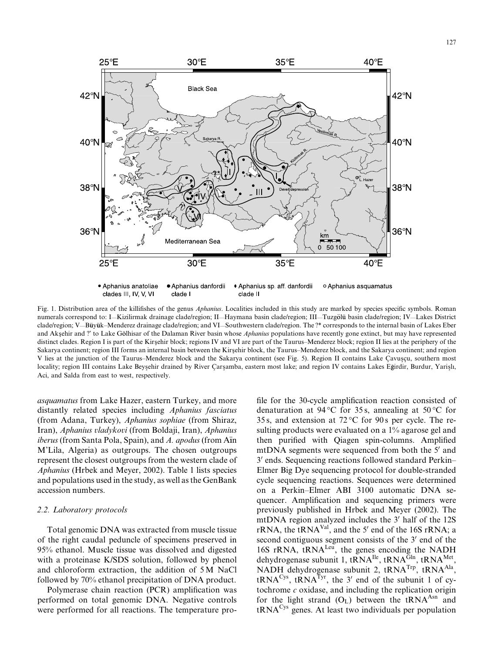

Fig. 1. Distribution area of the killifishes of the genus Aphanius. Localities included in this study are marked by species specific symbols. Roman numerals correspond to: I—Kizilirmak drainage clade/region; II—Haymana basin clade/region; III—Tuzgölü basin clade/region; IV—Lakes District clade/region; V—Büyük–Menderez drainage clade/region; and VI—Southwestern clade/region. The ?\* corresponds to the internal basin of Lakes Eber and Aksehir and ?' to Lake Gölhisar of the Dalaman River basin whose Aphanius populations have recently gone extinct, but may have represented distinct clades. Region I is part of the Kirsehir block; regions IV and VI are part of the Taurus–Menderez block; region II lies at the periphery of the Sakarya continent; region III forms an internal basin between the Kirsehir block, the Taurus–Menderez block, and the Sakarya continent; and region V lies at the junction of the Taurus–Menderez block and the Sakarya continent (see Fig. 5). Region II contains Lake Çavuşçu, southern most locality; region III contains Lake Beyşehir drained by River Çarşamba, eastern most lake; and region IV contains Lakes Eğirdir, Burdur, Yarişlı, Aci, and Salda from east to west, respectively.

asquamatus from Lake Hazer, eastern Turkey, and more distantly related species including Aphanius fasciatus (from Adana, Turkey), Aphanius sophiae (from Shiraz, Iran), Aphanius vladykovi (from Boldaji, Iran), Aphanius  $iberus$  (from Santa Pola, Spain), and A. apodus (from A $\overline{a}$ n M'Lila, Algeria) as outgroups. The chosen outgroups represent the closest outgroups from the western clade of Aphanius (Hrbek and Meyer, 2002). Table 1 lists species and populations used in the study, as well as the GenBank accession numbers.

# 2.2. Laboratory protocols

Total genomic DNA was extracted from muscle tissue of the right caudal peduncle of specimens preserved in 95% ethanol. Muscle tissue was dissolved and digested with a proteinase K/SDS solution, followed by phenol and chloroform extraction, the addition of 5 M NaCl followed by 70% ethanol precipitation of DNA product.

Polymerase chain reaction (PCR) amplification was performed on total genomic DNA. Negative controls were performed for all reactions. The temperature pro-

file for the 30-cycle amplification reaction consisted of denaturation at 94 °C for 35s, annealing at 50 °C for 35 s, and extension at  $72^{\circ}$ C for 90 s per cycle. The resulting products were evaluated on a 1% agarose gel and then purified with Qiagen spin-columns. Amplified mtDNA segments were sequenced from both the  $5'$  and 3' ends. Sequencing reactions followed standard Perkin– Elmer Big Dye sequencing protocol for double-stranded cycle sequencing reactions. Sequences were determined on a Perkin–Elmer ABI 3100 automatic DNA sequencer. Amplification and sequencing primers were previously published in Hrbek and Meyer (2002). The mtDNA region analyzed includes the 3' half of the 12S  $rRNA$ , the t $RNA<sup>Val</sup>$ , and the 5<sup>'</sup> end of the 16S rRNA; a second contiguous segment consists of the 3' end of the 16S rRNA, tRNA<sup>Leu</sup>, the genes encoding the NADH dehydrogenase subunit 1, tRNA<sup>Ile</sup>, tRNA<sup>Gln</sup>, tRNA<sup>Met</sup>, NADH dehydrogenase subunit 2, tRNA<sup>Trp</sup>, tRNA<sup>Ala</sup>,  $tRNA<sup>Cys</sup>$ ,  $tRNA<sup>Tyr</sup>$ , the 3' end of the subunit 1 of cytochrome  $c$  oxidase, and including the replication origin for the light strand  $(O_L)$  between the tRNA<sup>Asn</sup> and tRNACys genes. At least two individuals per population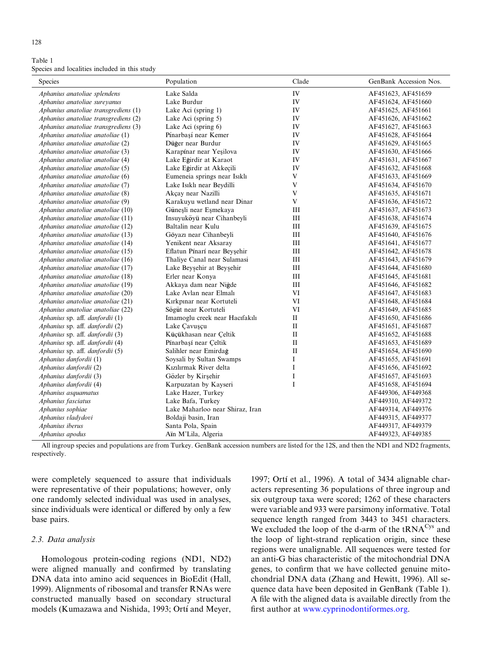| 128 |
|-----|
|-----|

Table 1 Species and localities included in this study

| Species                              | Population                      | Clade              | GenBank Accession Nos. |
|--------------------------------------|---------------------------------|--------------------|------------------------|
| Aphanius anatoliae splendens         | Lake Salda                      | IV                 | AF451623, AF451659     |
| Aphanius anatoliae sureyanus         | Lake Burdur                     | IV                 | AF451624, AF451660     |
| Aphanius anatoliae transgrediens (1) | Lake Aci (spring 1)             | IV                 | AF451625, AF451661     |
| Aphanius anatoliae transgrediens (2) | Lake Aci (spring 5)             | IV                 | AF451626, AF451662     |
| Aphanius anatoliae transgrediens (3) | Lake Aci (spring 6)             | IV                 | AF451627, AF451663     |
| Aphanius anatoliae anatoliae (1)     | Pínarbaşí near Kemer            | IV                 | AF451628, AF451664     |
| Aphanius anatoliae anatoliae (2)     | Düğer near Burdur               | IV                 | AF451629, AF451665     |
| Aphanius anatoliae anatoliae (3)     | Karapínar near Yeşilova         | IV                 | AF451630, AF451666     |
| Aphanius anatoliae anatoliae (4)     | Lake Eğirdir at Karaot          | IV                 | AF451631, AF451667     |
| Aphanius anatoliae anatoliae (5)     | Lake Eğirdir at Akkeçili        | IV                 | AF451632, AF451668     |
| Aphanius anatoliae anatoliae (6)     | Eumeneia springs near Isıklı    | $\mathbf V$        | AF451633, AF451669     |
| Aphanius anatoliae anatoliae (7)     | Lake Isıklı near Beydilli       | V                  | AF451634, AF451670     |
| Aphanius anatoliae anatoliae (8)     | Akçay near Nazilli              | $\mathbf{V}$       | AF451635, AF451671     |
| Aphanius anatoliae anatoliae (9)     | Karakuyu wetland near Dinar     | $\mathbf V$        | AF451636, AF451672     |
| Aphanius anatoliae anatoliae (10)    | Güneşli near Eşmekaya           | $\rm III$          | AF451637, AF451673     |
| Aphanius anatoliae anatoliae (11)    | Insuyuköyü near Cihanbeyli      | $\rm III$          | AF451638, AF451674     |
| Aphanius anatoliae anatoliae (12)    | Baltalin near Kulu              | Ш                  | AF451639, AF451675     |
| Aphanius anatoliae anatoliae (13)    | Göyazı near Cihanbeyli          | III                | AF451640, AF451676     |
| Aphanius anatoliae anatoliae (14)    | Yenikent near Aksaray           | $\rm III$          | AF451641, AF451677     |
| Aphanius anatoliae anatoliae (15)    | Eflatun Pínarí near Beyşehir    | $\rm III$          | AF451642, AF451678     |
| Aphanius anatoliae anatoliae (16)    | Thaliye Canal near Sulamasi     | Ш                  | AF451643, AF451679     |
| Aphanius anatoliae anatoliae (17)    | Lake Beyşehir at Beyşehir       | III                | AF451644, AF451680     |
| Aphanius anatoliae anatoliae (18)    | Erler near Konya                | $\mathop{\rm III}$ | AF451645, AF451681     |
| Aphanius anatoliae anatoliae (19)    | Akkaya dam near Niğde           | $\rm III$          | AF451646, AF451682     |
| Aphanius anatoliae anatoliae (20)    | Lake Avlan near Elmalı          | VI                 | AF451647, AF451683     |
| Aphanius anatoliae anatoliae (21)    | Kırkpınar near Kortuteli        | VI                 | AF451648, AF451684     |
| Aphanius anatoliae anatoliae (22)    | Sögüt near Kortuteli            | VI                 | AF451649, AF451685     |
| Aphanius sp. aff. danfordii (1)      | Imamoglu creek near Hacıfakılı  | $\mathbf{I}$       | AF451650, AF451686     |
| Aphanius sp. aff. danfordii (2)      | Lake Çavuşçu                    | $\mathbf{I}$       | AF451651, AF451687     |
| Aphanius sp. aff. danfordii (3)      | Küçükhasan near Çeltik          | $\mathbf{I}$       | AF451652, AF451688     |
| Aphanius sp. aff. danfordii (4)      | Pínarbasí near Celtik           | $\mathbf{H}$       | AF451653, AF451689     |
| Aphanius sp. aff. danfordii (5)      | Salihler near Emirdağ           | $\mathbf{I}$       | AF451654, AF451690     |
| Aphanius danfordii (1)               | Soysali by Sultan Swamps        | $\mathbf I$        | AF451655, AF451691     |
| Aphanius danfordii (2)               | Kızılırmak River delta          | $\bf{I}$           | AF451656, AF451692     |
| Aphanius danfordii (3)               | Gözler by Kirşehir              | $\bf{I}$           | AF451657, AF451693     |
| Aphanius danfordii (4)               | Karpuzatan by Kayseri           | $\mathbf I$        | AF451658, AF451694     |
| Aphanius asquamatus                  | Lake Hazer, Turkey              |                    | AF449306, AF449368     |
| Aphanius fasciatus                   | Lake Bafa, Turkey               |                    | AF449310, AF449372     |
| Aphanius sophiae                     | Lake Maharloo near Shiraz, Iran |                    | AF449314, AF449376     |
| Aphanius vladydovi                   | Boldaji basin, Iran             |                    | AF449315, AF449377     |
| Aphanius iberus                      | Santa Pola, Spain               |                    | AF449317, AF449379     |
| Aphanius apodus                      | Aïn M'Lila, Algeria             |                    | AF449323, AF449385     |

All ingroup species and populations are from Turkey. GenBank accession numbers are listed for the 12S, and then the ND1 and ND2 fragments, respectively.

were completely sequenced to assure that individuals were representative of their populations; however, only one randomly selected individual was used in analyses, since individuals were identical or differed by only a few base pairs.

#### 2.3. Data analysis

Homologous protein-coding regions (ND1, ND2) were aligned manually and confirmed by translating DNA data into amino acid sequences in BioEdit (Hall, 1999). Alignments of ribosomal and transfer RNAs were constructed manually based on secondary structural models (Kumazawa and Nishida, 1993; Ortí and Meyer,

1997; Ortí et al., 1996). A total of 3434 alignable characters representing 36 populations of three ingroup and six outgroup taxa were scored; 1262 of these characters were variable and 933 were parsimony informative. Total sequence length ranged from 3443 to 3451 characters. We excluded the loop of the d-arm of the tRNA<sup>Cys</sup> and the loop of light-strand replication origin, since these regions were unalignable. All sequences were tested for an anti-G bias characteristic of the mitochondrial DNA genes, to confirm that we have collected genuine mitochondrial DNA data (Zhang and Hewitt, 1996). All sequence data have been deposited in GenBank (Table 1). A file with the aligned data is available directly from the first author at [www.cyprinodontiformes.org.](www.cyprinodontiformes.org)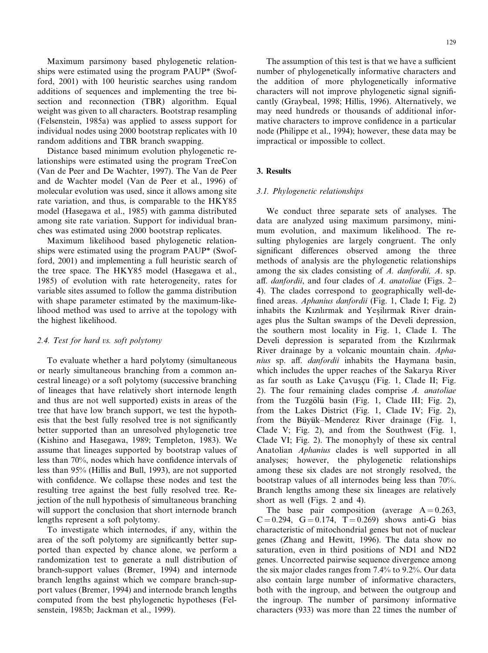Maximum parsimony based phylogenetic relationships were estimated using the program PAUP\* (Swofford, 2001) with 100 heuristic searches using random additions of sequences and implementing the tree bisection and reconnection (TBR) algorithm. Equal weight was given to all characters. Bootstrap resampling (Felsenstein, 1985a) was applied to assess support for individual nodes using 2000 bootstrap replicates with 10 random additions and TBR branch swapping.

Distance based minimum evolution phylogenetic relationships were estimated using the program TreeCon (Van de Peer and De Wachter, 1997). The Van de Peer and de Wachter model (Van de Peer et al., 1996) of molecular evolution was used, since it allows among site rate variation, and thus, is comparable to the HKY85 model (Hasegawa et al., 1985) with gamma distributed among site rate variation. Support for individual branches was estimated using 2000 bootstrap replicates.

Maximum likelihood based phylogenetic relationships were estimated using the program PAUP\* (Swofford, 2001) and implementing a full heuristic search of the tree space. The HKY85 model (Hasegawa et al., 1985) of evolution with rate heterogeneity, rates for variable sites assumed to follow the gamma distribution with shape parameter estimated by the maximum-likelihood method was used to arrive at the topology with the highest likelihood.

#### 2.4. Test for hard vs. soft polytomy

To evaluate whether a hard polytomy (simultaneous or nearly simultaneous branching from a common ancestral lineage) or a soft polytomy (successive branching of lineages that have relatively short internode length and thus are not well supported) exists in areas of the tree that have low branch support, we test the hypothesis that the best fully resolved tree is not significantly better supported than an unresolved phylogenetic tree (Kishino and Hasegawa, 1989; Templeton, 1983). We assume that lineages supported by bootstrap values of less than 70%, nodes which have confidence intervals of less than 95% (Hillis and Bull, 1993), are not supported with confidence. We collapse these nodes and test the resulting tree against the best fully resolved tree. Rejection of the null hypothesis of simultaneous branching will support the conclusion that short internode branch lengths represent a soft polytomy.

To investigate which internodes, if any, within the area of the soft polytomy are significantly better supported than expected by chance alone, we perform a randomization test to generate a null distribution of branch-support values (Bremer, 1994) and internode branch lengths against which we compare branch-support values (Bremer, 1994) and internode branch lengths computed from the best phylogenetic hypotheses (Felsenstein, 1985b; Jackman et al., 1999).

The assumption of this test is that we have a sufficient number of phylogenetically informative characters and the addition of more phylogenetically informative characters will not improve phylogenetic signal significantly (Graybeal, 1998; Hillis, 1996). Alternatively, we may need hundreds or thousands of additional informative characters to improve confidence in a particular node (Philippe et al., 1994); however, these data may be impractical or impossible to collect.

## 3. Results

#### 3.1. Phylogenetic relationships

We conduct three separate sets of analyses. The data are analyzed using maximum parsimony, minimum evolution, and maximum likelihood. The resulting phylogenies are largely congruent. The only significant differences observed among the three methods of analysis are the phylogenetic relationships among the six clades consisting of A. danfordii, A. sp. aff. danfordii, and four clades of A. anatoliae (Figs. 2-4). The clades correspond to geographically well-defined areas. Aphanius danfordii (Fig. 1, Clade I; Fig. 2) inhabits the Kızılırmak and Yesilırmak River drainages plus the Sultan swamps of the Develi depression, the southern most locality in Fig. 1, Clade I. The Develi depression is separated from the Kızılırmak River drainage by a volcanic mountain chain. Aphanius sp. aff. *danfordii* inhabits the Haymana basin, which includes the upper reaches of the Sakarya River as far south as Lake Cavuscu (Fig. 1, Clade II; Fig. 2). The four remaining clades comprise A. anatoliae from the Tuzgölü basin (Fig. 1, Clade III; Fig. 2), from the Lakes District (Fig. 1, Clade IV; Fig. 2), from the Büyük–Menderez River drainage (Fig. 1, Clade V; Fig. 2), and from the Southwest (Fig. 1, Clade VI; Fig. 2). The monophyly of these six central Anatolian Aphanius clades is well supported in all analyses; however, the phylogenetic relationships among these six clades are not strongly resolved, the bootstrap values of all internodes being less than 70%. Branch lengths among these six lineages are relatively short as well (Figs. 2 and 4).

The base pair composition (average  $A = 0.263$ ,  $C = 0.294$ ,  $G = 0.174$ ,  $T = 0.269$ ) shows anti-G bias characteristic of mitochondrial genes but not of nuclear genes (Zhang and Hewitt, 1996). The data show no saturation, even in third positions of ND1 and ND2 genes. Uncorrected pairwise sequence divergence among the six major clades ranges from 7.4% to 9.2%. Our data also contain large number of informative characters, both with the ingroup, and between the outgroup and the ingroup. The number of parsimony informative characters (933) was more than 22 times the number of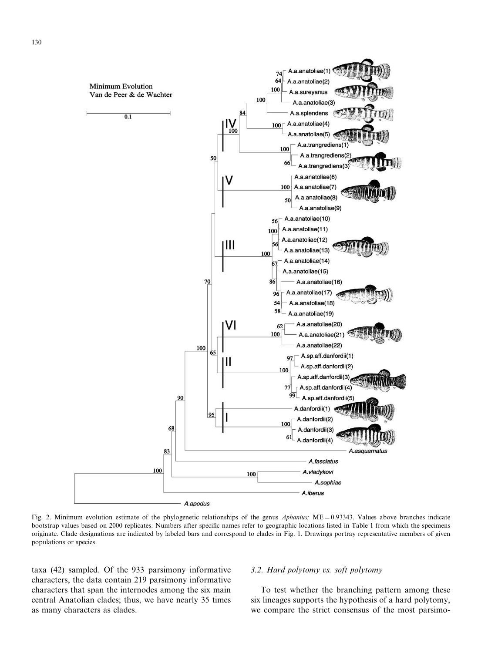

Fig. 2. Minimum evolution estimate of the phylogenetic relationships of the genus Aphanius;  $ME = 0.93343$ . Values above branches indicate bootstrap values based on 2000 replicates. Numbers after specific names refer to geographic locations listed in Table 1 from which the specimens originate. Clade designations are indicated by labeled bars and correspond to clades in Fig. 1. Drawings portray representative members of given populations or species.

taxa (42) sampled. Of the 933 parsimony informative characters, the data contain 219 parsimony informative characters that span the internodes among the six main central Anatolian clades; thus, we have nearly 35 times as many characters as clades.

#### $3.2.$  Hard polytomy vs. soft polytomy

To test whether the branching pattern among these six lineages supports the hypothesis of a hard polytomy, we compare the strict consensus of the most parsimo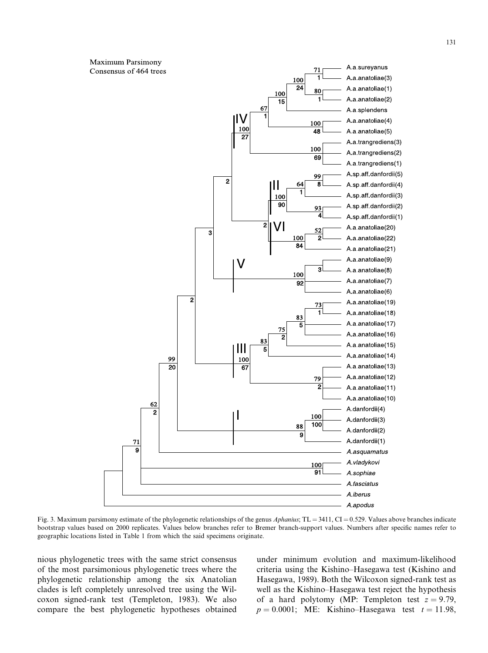Maximum Parsimony A a sureyanus 71 Consensus of 464 trees A a anatoliae(3) 1 100  $\overline{24}$ A a anatoliae(1) 80 100 A a anatoliae(2) 15 67 A a splendens I٧ A a anatoliae(4) 100  $100$  $\overline{48}$ A a anatoliae(5)  $\overline{27}$ A.a.trangrediens(3) 100 A.a.trangrediens(2) 69 A a trangrediens(1) A sp aff danfordii(5) 99  $\overline{2}$  $\overline{\mathbf{a}}$ A sp aff danfordii(4) A sp aff danfordii(3)  $100$ 90 A sp aff danfordii(2) 93  $\overline{\boldsymbol{\lambda}}$ A sp aff danfordii(1)  $\overline{2}$ VI A a anatoliae(20)  $52$ 3  $\overline{2}$ A a anatoliae(22) 100 84 A a anatoliae(21) A a anatoliae(9) V 3 A a anatoliae(8) 100 A a anatoliae(7) 92 A a anatoliae(6) ٥ A a anatoliae(19) 73 A a anatoliae(18) 83 A a anatoliae(17) 5 75 A a anatoliae(16)  $\overline{2}$ 83 A a anatoliae(15)  $\overline{5}$ Ш A.a.anatoliae(14) 99 100 A a anatoliae(13) 20  $\overline{67}$ A a anatoliae(12) 79  $\overline{2}$ A a anatoliae(11) A a anatoliae(10) 62 A.danfordii(4)  $\overline{2}$ 100 A.danfordii(3) 100 88 A.danfordii(2) A.danfordii(1) 71 9 A.asquamatus A.vladykovi  $100$  $91$ A.sophiae A.fasciatus A.iberus A.apodus

Fig. 3. Maximum parsimony estimate of the phylogenetic relationships of the genus Aphanius; TL = 3411, CI = 0.529. Values above branches indicate bootstrap values based on 2000 replicates. Values below branches refer to Bremer branch-support values. Numbers after specific names refer to geographic locations listed in Table 1 from which the said specimens originate.

nious phylogenetic trees with the same strict consensus of the most parsimonious phylogenetic trees where the phylogenetic relationship among the six Anatolian clades is left completely unresolved tree using the Wilcoxon signed-rank test (Templeton, 1983). We also compare the best phylogenetic hypotheses obtained under minimum evolution and maximum-likelihood criteria using the Kishino–Hasegawa test (Kishino and Hasegawa, 1989). Both the Wilcoxon signed-rank test as well as the Kishino–Hasegawa test reject the hypothesis of a hard polytomy (MP: Templeton test  $z = 9.79$ ,  $p = 0.0001$ ; ME: Kishino–Hasegawa test  $t = 11.98$ ,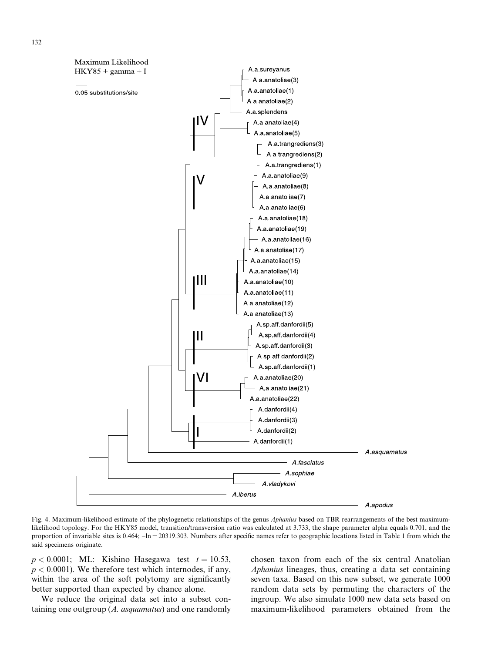

Fig. 4. Maximum-likelihood estimate of the phylogenetic relationships of the genus Aphanius based on TBR rearrangements of the best maximumlikelihood topology. For the HKY85 model, transition/transversion ratio was calculated at 3.733, the shape parameter alpha equals 0.701, and the proportion of invariable sites is 0.464;  $-\ln = 20319.303$ . Numbers after specific names refer to geographic locations listed in Table 1 from which the said specimens originate.

 $p < 0.0001$ ; ML: Kishino–Hasegawa test  $t = 10.53$ ,  $p < 0.0001$ ). We therefore test which internodes, if any, within the area of the soft polytomy are significantly better supported than expected by chance alone.

We reduce the original data set into a subset containing one outgroup  $(A.$  asquamatus) and one randomly chosen taxon from each of the six central Anatolian Aphanius lineages, thus, creating a data set containing seven taxa. Based on this new subset, we generate 1000 random data sets by permuting the characters of the ingroup. We also simulate 1000 new data sets based on maximum-likelihood parameters obtained from the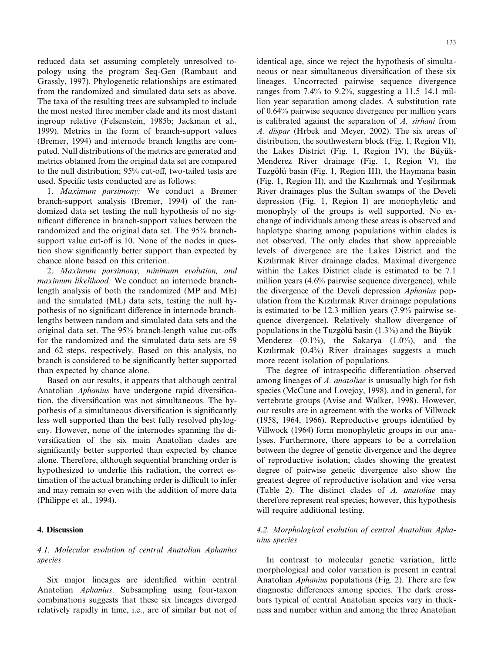reduced data set assuming completely unresolved topology using the program Seq-Gen (Rambaut and Grassly, 1997). Phylogenetic relationships are estimated from the randomized and simulated data sets as above. The taxa of the resulting trees are subsampled to include the most nested three member clade and its most distant ingroup relative (Felsenstein, 1985b; Jackman et al., 1999). Metrics in the form of branch-support values (Bremer, 1994) and internode branch lengths are computed. Null distributions of the metrics are generated and metrics obtained from the original data set are compared to the null distribution; 95% cut-off, two-tailed tests are used. Specific tests conducted are as follows:

1. Maximum parsimony: We conduct a Bremer branch-support analysis (Bremer, 1994) of the randomized data set testing the null hypothesis of no significant difference in branch-support values between the randomized and the original data set. The 95% branchsupport value cut-off is 10. None of the nodes in question show significantly better support than expected by chance alone based on this criterion.

2. Maximum parsimony, minimum evolution, and maximum likelihood: We conduct an internode branchlength analysis of both the randomized (MP and ME) and the simulated (ML) data sets, testing the null hypothesis of no significant difference in internode branchlengths between random and simulated data sets and the original data set. The 95% branch-length value cut-offs for the randomized and the simulated data sets are 59 and 62 steps, respectively. Based on this analysis, no branch is considered to be significantly better supported than expected by chance alone.

Based on our results, it appears that although central Anatolian Aphanius have undergone rapid diversification, the diversification was not simultaneous. The hypothesis of a simultaneous diversification is significantly less well supported than the best fully resolved phylogeny. However, none of the internodes spanning the diversification of the six main Anatolian clades are significantly better supported than expected by chance alone. Therefore, although sequential branching order is hypothesized to underlie this radiation, the correct estimation of the actual branching order is difficult to infer and may remain so even with the addition of more data (Philippe et al., 1994).

#### 4. Discussion

# 4.1. Molecular evolution of central Anatolian Aphanius species

Six major lineages are identified within central Anatolian Aphanius. Subsampling using four-taxon combinations suggests that these six lineages diverged relatively rapidly in time, i.e., are of similar but not of identical age, since we reject the hypothesis of simultaneous or near simultaneous diversification of these six lineages. Uncorrected pairwise sequence divergence ranges from 7.4% to 9.2%, suggesting a 11.5–14.1 million year separation among clades. A substitution rate of 0.64% pairwise sequence divergence per million years is calibrated against the separation of A. sirhani from A. dispar (Hrbek and Meyer, 2002). The six areas of distribution, the southwestern block (Fig. 1, Region VI), the Lakes District (Fig. 1, Region IV), the Büyük-Menderez River drainage (Fig. 1, Region V), the Tuzgölü basin (Fig. 1, Region III), the Haymana basin (Fig. 1, Region II), and the Kızılırmak and Yesilırmak River drainages plus the Sultan swamps of the Develi depression (Fig. 1, Region I) are monophyletic and monophyly of the groups is well supported. No exchange of individuals among these areas is observed and haplotype sharing among populations within clades is not observed. The only clades that show appreciable levels of divergence are the Lakes District and the Kızılırmak River drainage clades. Maximal divergence within the Lakes District clade is estimated to be 7.1 million years (4.6% pairwise sequence divergence), while the divergence of the Develi depression Aphanius population from the Kızılırmak River drainage populations is estimated to be 12.3 million years (7.9% pairwise sequence divergence). Relatively shallow divergence of populations in the Tuzgölü basin  $(1.3\%)$  and the Büyük– Menderez  $(0.1\%)$ , the Sakarya  $(1.0\%)$ , and the Kızılırmak (0.4%) River drainages suggests a much more recent isolation of populations.

The degree of intraspecific differentiation observed among lineages of A. *anatoliae* is unusually high for fish species (McCune and Lovejoy, 1998), and in general, for vertebrate groups (Avise and Walker, 1998). However, our results are in agreement with the works of Villwock (1958, 1964, 1966). Reproductive groups identified by Villwock (1964) form monophyletic groups in our analyses. Furthermore, there appears to be a correlation between the degree of genetic divergence and the degree of reproductive isolation; clades showing the greatest degree of pairwise genetic divergence also show the greatest degree of reproductive isolation and vice versa (Table 2). The distinct clades of A. anatoliae may therefore represent real species; however, this hypothesis will require additional testing.

# 4.2. Morphological evolution of central Anatolian Aphanius species

In contrast to molecular genetic variation, little morphological and color variation is present in central Anatolian *Aphanius* populations (Fig. 2). There are few diagnostic differences among species. The dark crossbars typical of central Anatolian species vary in thickness and number within and among the three Anatolian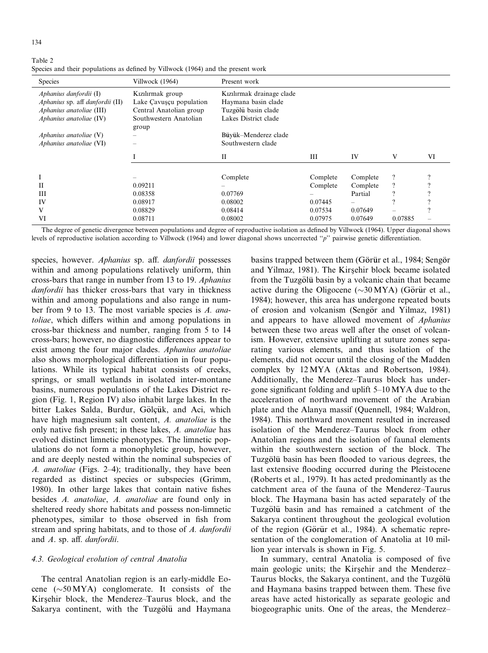$134$ 

Table 2 Species and their populations as defined by Villwock (1964) and the present work

| <b>Species</b>                  | Villwock (1964)         | Present work              |          |          |                |          |
|---------------------------------|-------------------------|---------------------------|----------|----------|----------------|----------|
| Aphanius danfordii $(I)$        | Kızılırmak group        | Kızılırmak drainage clade |          |          |                |          |
| Aphanius sp. aff danfordii (II) | Lake Cavuscu population | Haymana basin clade       |          |          |                |          |
| Aphanius anatoliae (III)        | Central Anatolian group | Tuzgölü basin clade       |          |          |                |          |
| Aphanius anatoliae (IV)         | Southwestern Anatolian  | Lakes District clade      |          |          |                |          |
|                                 | group                   |                           |          |          |                |          |
| Aphanius anatoliae $(V)$        |                         | Büyük-Menderez clade      |          |          |                |          |
| Aphanius anatoliae (VI)         |                         | Southwestern clade        |          |          |                |          |
|                                 |                         |                           |          |          |                |          |
|                                 |                         | $_{\rm II}$               | Ш        | IV       | V              | VI       |
|                                 |                         |                           |          |          |                |          |
|                                 |                         | Complete                  | Complete | Complete | $\overline{?}$ | $\Omega$ |
| Н                               | 0.09211                 |                           | Complete | Complete | ?              |          |
| Ш                               | 0.08358                 | 0.07769                   |          | Partial  |                |          |
| IV                              | 0.08917                 | 0.08002                   | 0.07445  |          |                |          |
| V                               | 0.08829                 | 0.08414                   | 0.07534  | 0.07649  |                |          |
| VI                              | 0.08711                 | 0.08002                   | 0.07975  | 0.07649  | 0.07885        |          |

The degree of genetic divergence between populations and degree of reproductive isolation as defined by Villwock (1964). Upper diagonal shows levels of reproductive isolation according to Villwock (1964) and lower diagonal shows uncorrected ''p'' pairwise genetic differentiation.

species, however. Aphanius sp. aff. danfordii possesses within and among populations relatively uniform, thin cross-bars that range in number from 13 to 19. Aphanius danfordii has thicker cross-bars that vary in thickness within and among populations and also range in number from 9 to 13. The most variable species is A. anatoliae, which differs within and among populations in cross-bar thickness and number, ranging from 5 to 14 cross-bars; however, no diagnostic differences appear to exist among the four major clades. Aphanius anatoliae also shows morphological differentiation in four populations. While its typical habitat consists of creeks, springs, or small wetlands in isolated inter-montane basins, numerous populations of the Lakes District region (Fig. 1, Region IV) also inhabit large lakes. In the bitter Lakes Salda, Burdur, Gölçük, and Aci, which have high magnesium salt content, A. anatoliae is the only native fish present; in these lakes, A. anatoliae has evolved distinct limnetic phenotypes. The limnetic populations do not form a monophyletic group, however, and are deeply nested within the nominal subspecies of A. anatoliae (Figs. 2–4); traditionally, they have been regarded as distinct species or subspecies (Grimm, 1980). In other large lakes that contain native fishes besides A. anatoliae, A. anatoliae are found only in sheltered reedy shore habitats and possess non-limnetic phenotypes, similar to those observed in fish from stream and spring habitats, and to those of A. danfordii and A. sp. aff. danfordii.

## 4.3. Geological evolution of central Anatolia

The central Anatolian region is an early-middle Eocene  $(\sim 50 \text{ MYA})$  conglomerate. It consists of the Kirsehir block, the Menderez–Taurus block, and the Sakarya continent, with the Tuzgölü and Haymana

basins trapped between them (Görür et al., 1984; Sengör and Yilmaz, 1981). The Kirsehir block became isolated from the Tuzgölü basin by a volcanic chain that became active during the Oligocene ( $\sim$ 30 MYA) (Görür et al., 1984); however, this area has undergone repeated bouts of erosion and volcanism (Sengör and Yilmaz, 1981) and appears to have allowed movement of Aphanius between these two areas well after the onset of volcanism. However, extensive uplifting at suture zones separating various elements, and thus isolation of the elements, did not occur until the closing of the Madden complex by 12 MYA (Aktas and Robertson, 1984). Additionally, the Menderez–Taurus block has undergone significant folding and uplift 5–10 MYA due to the acceleration of northward movement of the Arabian plate and the Alanya massif (Quennell, 1984; Waldron, 1984). This northward movement resulted in increased isolation of the Menderez–Taurus block from other Anatolian regions and the isolation of faunal elements within the southwestern section of the block. The Tuzgölü basin has been flooded to various degrees, the last extensive flooding occurred during the Pleistocene (Roberts et al., 1979). It has acted predominantly as the catchment area of the fauna of the Menderez–Taurus block. The Haymana basin has acted separately of the Tuzgölü basin and has remained a catchment of the Sakarya continent throughout the geological evolution of the region (Görür et al., 1984). A schematic representation of the conglomeration of Anatolia at 10 million year intervals is shown in Fig. 5.

In summary, central Anatolia is composed of five main geologic units; the Kirsehir and the Menderez– Taurus blocks, the Sakarya continent, and the Tuzgölü and Haymana basins trapped between them. These five areas have acted historically as separate geologic and biogeographic units. One of the areas, the Menderez–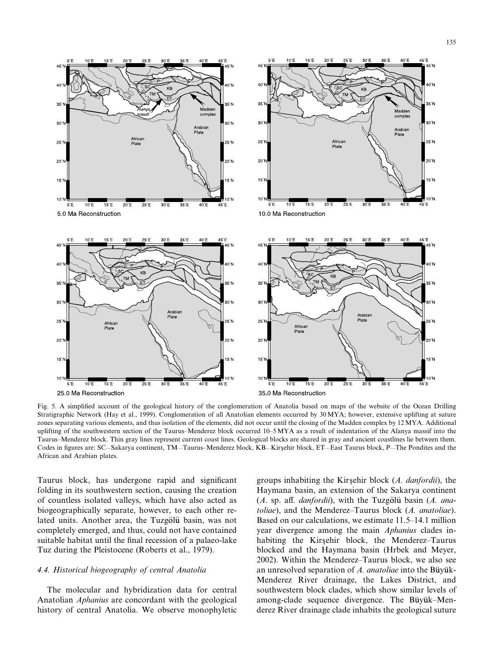

Fig. 5. A simplified account of the geological history of the conglomeration of Anatolia based on maps of the website of the Ocean Drilling Stratigraphic Network (Hay et al., 1999). Conglomeration of all Anatolian elements occurred by 30 MYA; however, extensive uplifting at suture zones separating various elements, and thus isolation of the elements, did not occur until the closing of the Madden complex by 12 MYA. Additional uplifting of the southwestern section of the Taurus–Menderez block occurred 10–5MYA as a result of indentation of the Alanya massif into the Taurus–Menderez block. Thin gray lines represent current coast lines. Geological blocks are shared in gray and ancient coastlines lie between them. Codes in figures are: SC—Sakarya continent, TM—Taurus–Menderez block, KB—Kirsehir block, ET—East Taurus block, P—The Pondites and the African and Arabian plates.

Taurus block, has undergone rapid and significant folding in its southwestern section, causing the creation of countless isolated valleys, which have also acted as biogeographically separate, however, to each other related units. Another area, the Tuzgölü basin, was not completely emerged, and thus, could not have contained suitable habitat until the final recession of a palaeo-lake Tuz during the Pleistocene (Roberts et al., 1979).

# 4.4. Historical biogeography of central Anatolia

The molecular and hybridization data for central Anatolian Aphanius are concordant with the geological history of central Anatolia. We observe monophyletic

groups inhabiting the Kirsehir block (A. danfordii), the Haymana basin, an extension of the Sakarya continent  $(A.$  sp. aff. *danfordii*), with the Tuzgölü basin  $(A.$  anatoliae), and the Menderez-Taurus block (A. anatoliae). Based on our calculations, we estimate 11.5–14.1 million year divergence among the main *Aphanius* clades inhabiting the Kirsehir block, the Menderez–Taurus blocked and the Haymana basin (Hrbek and Meyer, 2002). Within the Menderez–Taurus block, we also see an unresolved separation of  $\Lambda$ . anatoliae into the Büyük-Menderez River drainage, the Lakes District, and southwestern block clades, which show similar levels of among-clade sequence divergence. The Büyük–Menderez River drainage clade inhabits the geological suture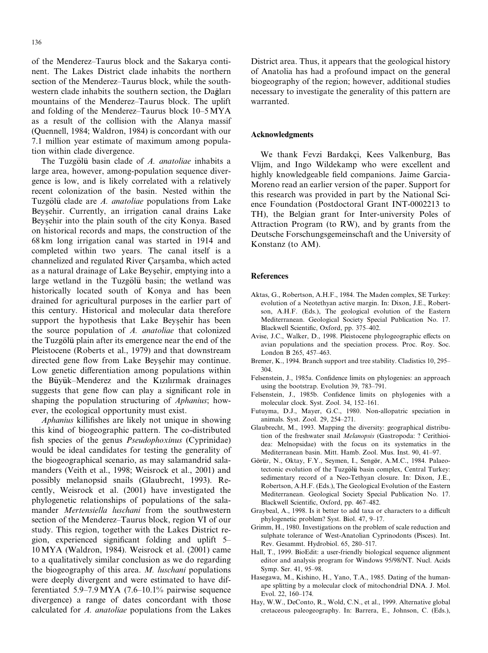of the Menderez–Taurus block and the Sakarya continent. The Lakes District clade inhabits the northern section of the Menderez–Taurus block, while the southwestern clade inhabits the southern section, the Dağları mountains of the Menderez–Taurus block. The uplift and folding of the Menderez–Taurus block 10–5 MYA as a result of the collision with the Alanya massif (Quennell, 1984; Waldron, 1984) is concordant with our 7.1 million year estimate of maximum among population within clade divergence.

The Tuzgölü basin clade of A. anatoliae inhabits a large area, however, among-population sequence divergence is low, and is likely correlated with a relatively recent colonization of the basin. Nested within the Tuzgölü clade are *A. anatoliae* populations from Lake Beysehir. Currently, an irrigation canal drains Lake Beysehir into the plain south of the city Konya. Based on historical records and maps, the construction of the 68 km long irrigation canal was started in 1914 and completed within two years. The canal itself is a channelized and regulated River Carsamba, which acted as a natural drainage of Lake Beysehir, emptying into a large wetland in the Tuzgölü basin; the wetland was historically located south of Konya and has been drained for agricultural purposes in the earlier part of this century. Historical and molecular data therefore support the hypothesis that Lake Beysehir has been the source population of A. anatoliae that colonized the Tuzgölü plain after its emergence near the end of the Pleistocene (Roberts et al., 1979) and that downstream directed gene flow from Lake Beysehir may continue. Low genetic differentiation among populations within the Büyük–Menderez and the Kızılırmak drainages suggests that gene flow can play a significant role in shaping the population structuring of Aphanius; however, the ecological opportunity must exist.

Aphanius killifishes are likely not unique in showing this kind of biogeographic pattern. The co-distributed fish species of the genus Pseudophoxinus (Cyprinidae) would be ideal candidates for testing the generality of the biogeographical scenario, as may salamandrid salamanders (Veith et al., 1998; Weisrock et al., 2001) and possibly melanopsid snails (Glaubrecht, 1993). Recently, Weisrock et al. (2001) have investigated the phylogenetic relationships of populations of the salamander Mertensiella luschani from the southwestern section of the Menderez–Taurus block, region VI of our study. This region, together with the Lakes District region, experienced significant folding and uplift 5– 10 MYA (Waldron, 1984). Weisrock et al. (2001) came to a qualitatively similar conclusion as we do regarding the biogeography of this area. M. luschani populations were deeply divergent and were estimated to have differentiated 5.9–7.9 MYA (7.6–10.1% pairwise sequence divergence) a range of dates concordant with those calculated for A. anatoliae populations from the Lakes

District area. Thus, it appears that the geological history of Anatolia has had a profound impact on the general biogeography of the region; however, additional studies necessary to investigate the generality of this pattern are warranted.

## Acknowledgments

We thank Fevzi Bardakçi, Kees Valkenburg, Bas Vlijm, and Ingo Wildekamp who were excellent and highly knowledgeable field companions. Jaime Garcia-Moreno read an earlier version of the paper. Support for this research was provided in part by the National Science Foundation (Postdoctoral Grant INT-0002213 to TH), the Belgian grant for Inter-university Poles of Attraction Program (to RW), and by grants from the Deutsche Forschungsgemeinschaft and the University of Konstanz (to AM).

#### References

- Aktas, G., Robertson, A.H.F., 1984. The Maden complex, SE Turkey: evolution of a Neotethyan active margin. In: Dixon, J.E., Robertson, A.H.F. (Eds.), The geological evolution of the Eastern Mediterranean. Geological Society Special Publication No. 17. Blackwell Scientific, Oxford, pp. 375–402.
- Avise, J.C., Walker, D., 1998. Pleistocene phylogeographic effects on avian populations and the speciation process. Proc. Roy. Soc. London B 265, 457–463.
- Bremer, K., 1994. Branch support and tree stability. Cladistics 10, 295– 304.
- Felsenstein, J., 1985a. Confidence limits on phylogenies: an approach using the bootstrap. Evolution 39, 783–791.
- Felsenstein, J., 1985b. Confidence limits on phylogenies with a molecular clock. Syst. Zool. 34, 152–161.
- Futuyma, D.J., Mayer, G.C., 1980. Non-allopatric speciation in animals. Syst. Zool. 29, 254–271.
- Glaubrecht, M., 1993. Mapping the diversity: geographical distribution of the freshwater snail Melanopsis (Gastropoda: ? Cerithioidea: Melnopsidae) with the focus on its systematics in the Mediterranean basin. Mitt. Hamb. Zool. Mus. Inst. 90, 41–97.
- Görür, N., Oktay, F.Y., Seymen, I., Sengör, A.M.C., 1984. Palaeotectonic evolution of the Tuzgölü basin complex, Central Turkey: sedimentary record of a Neo-Tethyan closure. In: Dixon, J.E., Robertson, A.H.F. (Eds.), The Geological Evolution of the Eastern Mediterranean. Geological Society Special Publication No. 17. Blackwell Scientific, Oxford, pp. 467–482.
- Graybeal, A., 1998. Is it better to add taxa or characters to a difficult phylogenetic problem? Syst. Biol. 47, 9–17.
- Grimm, H., 1980. Investigations on the problem of scale reduction and sulphate tolerance of West-Anatolian Cyprinodonts (Pisces). Int. Rev. Gesammt. Hydrobiol. 65, 280–517.
- Hall, T., 1999. BioEdit: a user-friendly biological sequence alignment editor and analysis program for Windows 95/98/NT. Nucl. Acids Symp. Ser. 41, 95–98.
- Hasegawa, M., Kishino, H., Yano, T.A., 1985. Dating of the humanape splitting by a molecular clock of mitochondrial DNA. J. Mol. Evol. 22, 160–174.
- Hay, W.W., DeConto, R., Wold, C.N., et al., 1999. Alternative global cretaceous paleogeography. In: Barrera, E., Johnson, C. (Eds.),